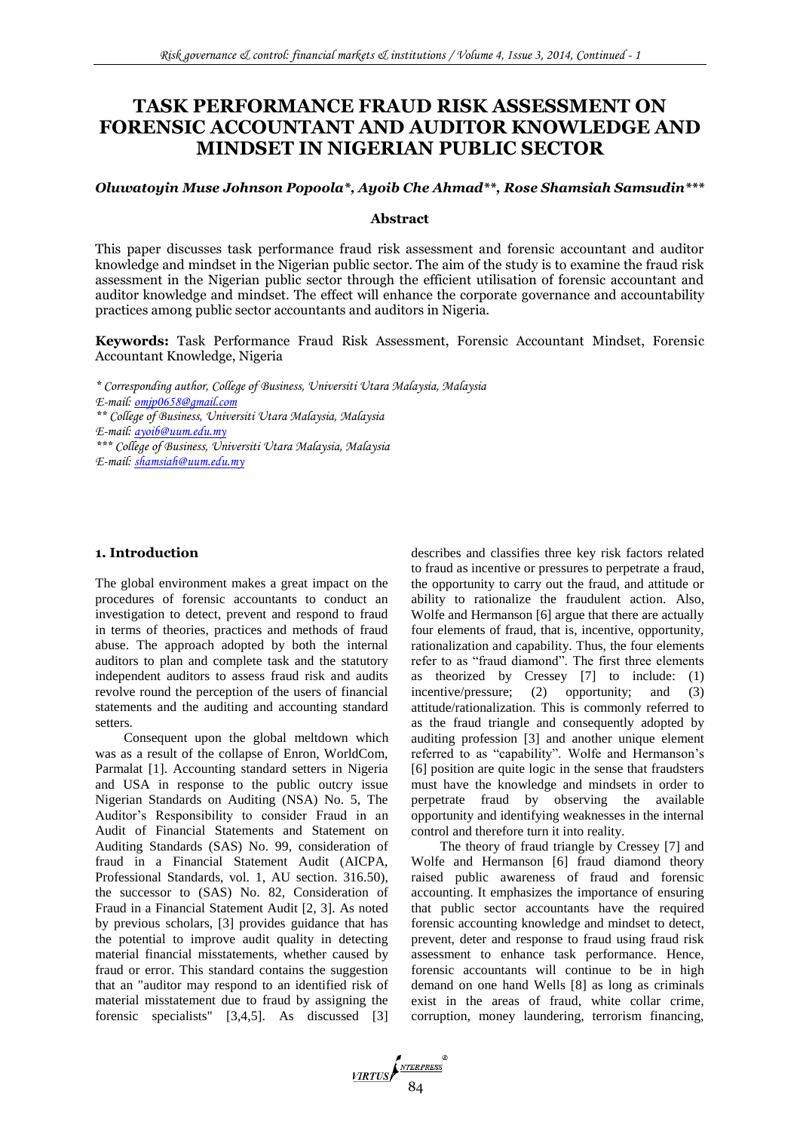# **TASK PERFORMANCE FRAUD RISK ASSESSMENT ON FORENSIC ACCOUNTANT AND AUDITOR KNOWLEDGE AND MINDSET IN NIGERIAN PUBLIC SECTOR**

#### *Oluwatoyin Muse Johnson Popoola\*, Ayoib Che Ahmad\*\*, Rose Shamsiah Samsudin\*\*\**

#### **Abstract**

This paper discusses task performance fraud risk assessment and forensic accountant and auditor knowledge and mindset in the Nigerian public sector. The aim of the study is to examine the fraud risk assessment in the Nigerian public sector through the efficient utilisation of forensic accountant and auditor knowledge and mindset. The effect will enhance the corporate governance and accountability practices among public sector accountants and auditors in Nigeria.

**Keywords:** Task Performance Fraud Risk Assessment, Forensic Accountant Mindset, Forensic Accountant Knowledge, Nigeria

*\* Corresponding author, College of Business, Universiti Utara Malaysia, Malaysia E-mail: [omjp0658@gmail.com](mailto:omjp0658@gmail.com) \*\* College of Business, Universiti Utara Malaysia, Malaysia E-mail: [ayoib@uum.edu.my](mailto:ayoib@uum.edu.my) \*\*\* College of Business, Universiti Utara Malaysia, Malaysia E-mail: [shamsiah@uum.edu.my](mailto:shamsiah@uum.edu.my)*

# **1. Introduction**

The global environment makes a great impact on the procedures of forensic accountants to conduct an investigation to detect, prevent and respond to fraud in terms of theories, practices and methods of fraud abuse. The approach adopted by both the internal auditors to plan and complete task and the statutory independent auditors to assess fraud risk and audits revolve round the perception of the users of financial statements and the auditing and accounting standard setters.

Consequent upon the global meltdown which was as a result of the collapse of Enron, WorldCom, Parmalat [1]. Accounting standard setters in Nigeria and USA in response to the public outcry issue Nigerian Standards on Auditing (NSA) No. 5, The Auditor's Responsibility to consider Fraud in an Audit of Financial Statements and Statement on Auditing Standards (SAS) No. 99, consideration of fraud in a Financial Statement Audit (AICPA, Professional Standards, vol. 1, AU section. 316.50), the successor to (SAS) No. 82, Consideration of Fraud in a Financial Statement Audit [2, 3]. As noted by previous scholars, [3] provides guidance that has the potential to improve audit quality in detecting material financial misstatements, whether caused by fraud or error. This standard contains the suggestion that an "auditor may respond to an identified risk of material misstatement due to fraud by assigning the forensic specialists" [3,4,5]. As discussed [3] describes and classifies three key risk factors related to fraud as incentive or pressures to perpetrate a fraud, the opportunity to carry out the fraud, and attitude or ability to rationalize the fraudulent action. Also, Wolfe and Hermanson [6] argue that there are actually four elements of fraud, that is, incentive, opportunity, rationalization and capability. Thus, the four elements refer to as "fraud diamond". The first three elements as theorized by Cressey [7] to include: (1) incentive/pressure; (2) opportunity; and (3) attitude/rationalization. This is commonly referred to as the fraud triangle and consequently adopted by auditing profession [3] and another unique element referred to as "capability". Wolfe and Hermanson's [6] position are quite logic in the sense that fraudsters must have the knowledge and mindsets in order to perpetrate fraud by observing the available opportunity and identifying weaknesses in the internal control and therefore turn it into reality.

The theory of fraud triangle by Cressey [7] and Wolfe and Hermanson [6] fraud diamond theory raised public awareness of fraud and forensic accounting. It emphasizes the importance of ensuring that public sector accountants have the required forensic accounting knowledge and mindset to detect, prevent, deter and response to fraud using fraud risk assessment to enhance task performance. Hence, forensic accountants will continue to be in high demand on one hand Wells [8] as long as criminals exist in the areas of fraud, white collar crime, corruption, money laundering, terrorism financing,

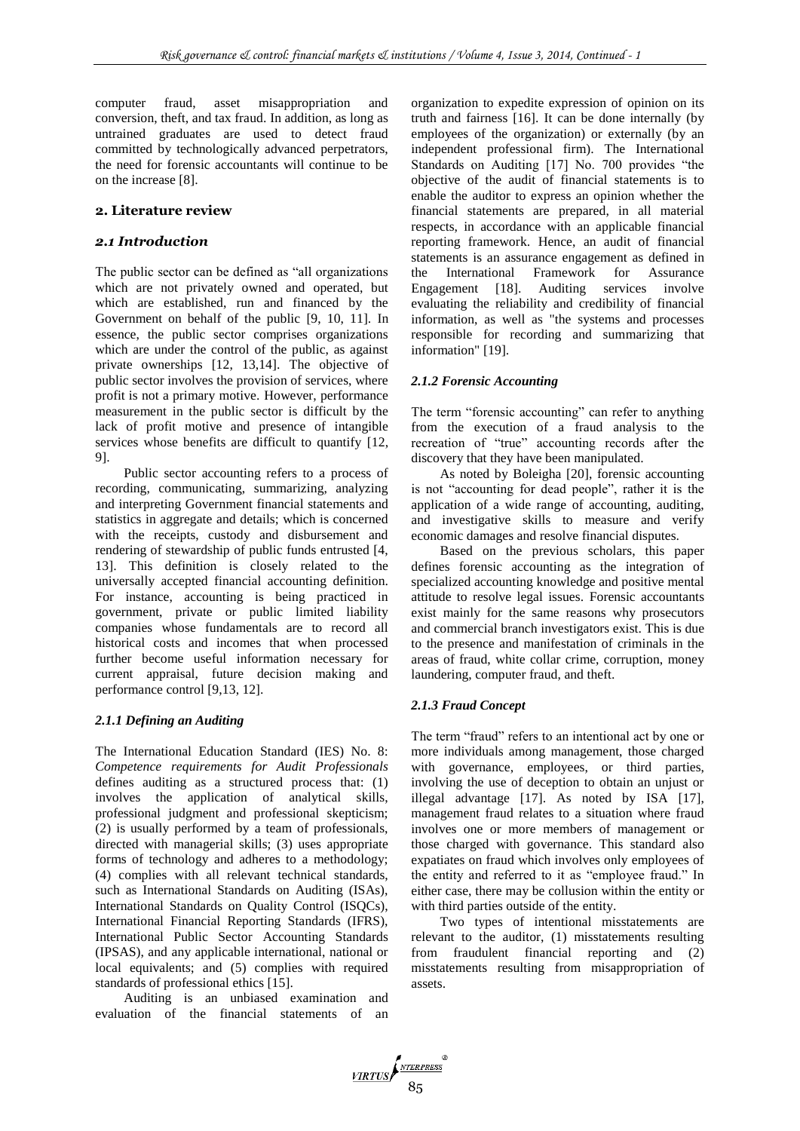computer fraud, asset misappropriation and conversion, theft, and tax fraud. In addition, as long as untrained graduates are used to detect fraud committed by technologically advanced perpetrators, the need for forensic accountants will continue to be on the increase [8].

# **2. Literature review**

# *2.1 Introduction*

The public sector can be defined as "all organizations which are not privately owned and operated, but which are established, run and financed by the Government on behalf of the public [9, 10, 11]. In essence, the public sector comprises organizations which are under the control of the public, as against private ownerships [12, 13,14]. The objective of public sector involves the provision of services, where profit is not a primary motive. However, performance measurement in the public sector is difficult by the lack of profit motive and presence of intangible services whose benefits are difficult to quantify [12, 9].

Public sector accounting refers to a process of recording, communicating, summarizing, analyzing and interpreting Government financial statements and statistics in aggregate and details; which is concerned with the receipts, custody and disbursement and rendering of stewardship of public funds entrusted [4, 13]. This definition is closely related to the universally accepted financial accounting definition. For instance, accounting is being practiced in government, private or public limited liability companies whose fundamentals are to record all historical costs and incomes that when processed further become useful information necessary for current appraisal, future decision making and performance control [9,13, 12].

# *2.1.1 Defining an Auditing*

The International Education Standard (IES) No. 8: *Competence requirements for Audit Professionals* defines auditing as a structured process that: (1) involves the application of analytical skills, professional judgment and professional skepticism; (2) is usually performed by a team of professionals, directed with managerial skills; (3) uses appropriate forms of technology and adheres to a methodology; (4) complies with all relevant technical standards, such as International Standards on Auditing (ISAs), International Standards on Quality Control (ISQCs), International Financial Reporting Standards (IFRS), International Public Sector Accounting Standards (IPSAS), and any applicable international, national or local equivalents; and (5) complies with required standards of professional ethics [15].

Auditing is an unbiased examination and evaluation of the financial statements of an organization to expedite expression of opinion on its truth and fairness [16]. It can be done internally (by employees of the organization) or externally (by an independent professional firm). The International Standards on Auditing [17] No. 700 provides "the objective of the audit of financial statements is to enable the auditor to express an opinion whether the financial statements are prepared, in all material respects, in accordance with an applicable financial reporting framework. Hence, an audit of financial statements is an assurance engagement as defined in the International Framework for Assurance Engagement [18]. Auditing services involve evaluating the reliability and credibility of financial information, as well as "the systems and processes responsible for recording and summarizing that information" [19].

# *2.1.2 Forensic Accounting*

The term "forensic accounting" can refer to anything from the execution of a fraud analysis to the recreation of "true" accounting records after the discovery that they have been manipulated.

As noted by Boleigha [20], forensic accounting is not "accounting for dead people", rather it is the application of a wide range of accounting, auditing, and investigative skills to measure and verify economic damages and resolve financial disputes.

Based on the previous scholars, this paper defines forensic accounting as the integration of specialized accounting knowledge and positive mental attitude to resolve legal issues. Forensic accountants exist mainly for the same reasons why prosecutors and commercial branch investigators exist. This is due to the presence and manifestation of criminals in the areas of fraud, white collar crime, corruption, money laundering, computer fraud, and theft.

# *2.1.3 Fraud Concept*

The term "fraud" refers to an intentional act by one or more individuals among management, those charged with governance, employees, or third parties, involving the use of deception to obtain an unjust or illegal advantage [17]. As noted by ISA [17], management fraud relates to a situation where fraud involves one or more members of management or those charged with governance. This standard also expatiates on fraud which involves only employees of the entity and referred to it as "employee fraud." In either case, there may be collusion within the entity or with third parties outside of the entity.

Two types of intentional misstatements are relevant to the auditor, (1) misstatements resulting from fraudulent financial reporting and (2) misstatements resulting from misappropriation of assets.

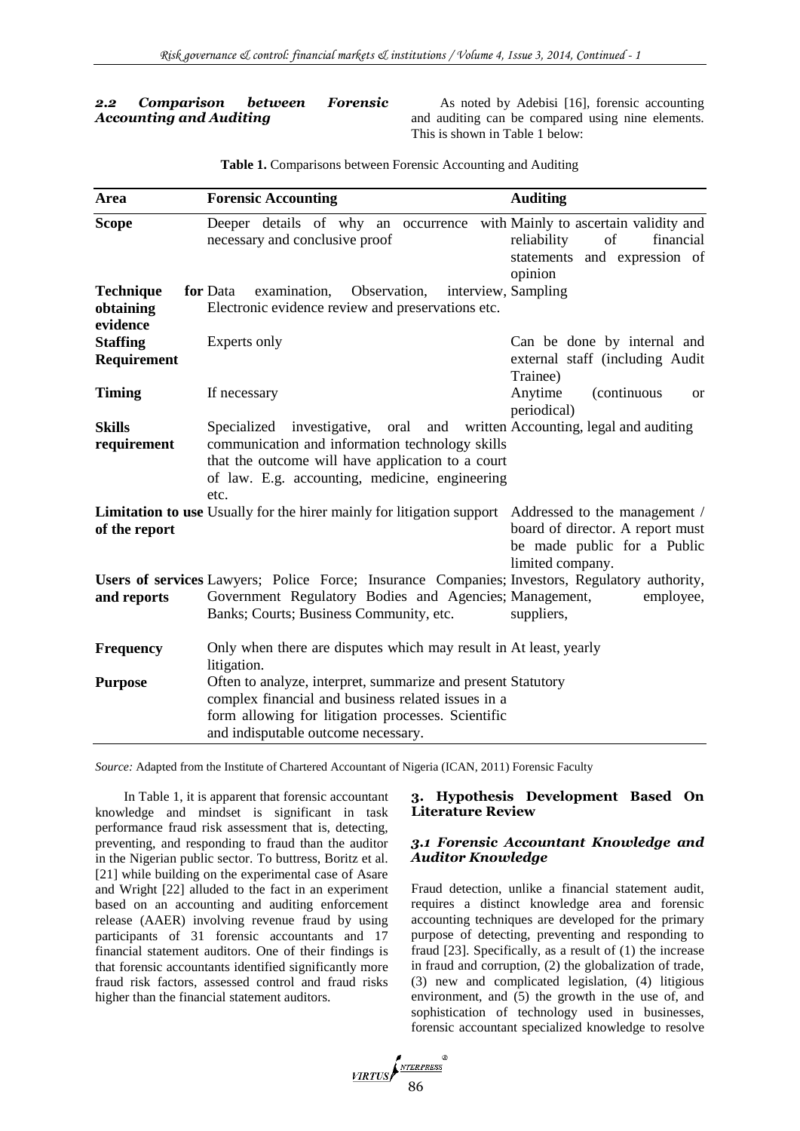# *2.2 Comparison between Forensic Accounting and Auditing*

As noted by Adebisi [16], forensic accounting and auditing can be compared using nine elements. This is shown in Table 1 below:

| Area                                      | <b>Forensic Accounting</b>                                                                                                                                                                                                                   | <b>Auditing</b>                                                                     |
|-------------------------------------------|----------------------------------------------------------------------------------------------------------------------------------------------------------------------------------------------------------------------------------------------|-------------------------------------------------------------------------------------|
| <b>Scope</b>                              | Deeper details of why an occurrence with Mainly to ascertain validity and<br>necessary and conclusive proof                                                                                                                                  | of<br>reliability<br>financial<br>statements and expression of<br>opinion           |
| <b>Technique</b><br>obtaining<br>evidence | for Data<br>examination,<br>Observation,<br>Electronic evidence review and preservations etc.                                                                                                                                                | interview, Sampling                                                                 |
| <b>Staffing</b><br>Requirement            | Experts only                                                                                                                                                                                                                                 | Can be done by internal and<br>external staff (including Audit<br>Trainee)          |
| <b>Timing</b>                             | If necessary                                                                                                                                                                                                                                 | Anytime<br>(continuous<br><b>or</b><br>periodical)                                  |
| <b>Skills</b><br>requirement              | Specialized investigative, oral and written Accounting, legal and auditing<br>communication and information technology skills<br>that the outcome will have application to a court<br>of law. E.g. accounting, medicine, engineering<br>etc. |                                                                                     |
| of the report                             | Limitation to use Usually for the hirer mainly for litigation support Addressed to the management /                                                                                                                                          | board of director. A report must<br>be made public for a Public<br>limited company. |
| and reports                               | Users of services Lawyers; Police Force; Insurance Companies; Investors, Regulatory authority,<br>Government Regulatory Bodies and Agencies; Management,<br>Banks; Courts; Business Community, etc.                                          | employee,<br>suppliers,                                                             |
| Frequency                                 | Only when there are disputes which may result in At least, yearly<br>litigation.                                                                                                                                                             |                                                                                     |
| <b>Purpose</b>                            | Often to analyze, interpret, summarize and present Statutory<br>complex financial and business related issues in a<br>form allowing for litigation processes. Scientific<br>and indisputable outcome necessary.                              |                                                                                     |

**Table 1.** Comparisons between Forensic Accounting and Auditing

*Source:* Adapted from the Institute of Chartered Accountant of Nigeria (ICAN, 2011) Forensic Faculty

In Table 1, it is apparent that forensic accountant knowledge and mindset is significant in task performance fraud risk assessment that is, detecting, preventing, and responding to fraud than the auditor in the Nigerian public sector. To buttress, Boritz et al. [21] while building on the experimental case of Asare and Wright [22] alluded to the fact in an experiment based on an accounting and auditing enforcement release (AAER) involving revenue fraud by using participants of 31 forensic accountants and 17 financial statement auditors. One of their findings is that forensic accountants identified significantly more fraud risk factors, assessed control and fraud risks higher than the financial statement auditors.

# **3. Hypothesis Development Based On Literature Review**

# *3.1 Forensic Accountant Knowledge and Auditor Knowledge*

Fraud detection, unlike a financial statement audit, requires a distinct knowledge area and forensic accounting techniques are developed for the primary purpose of detecting, preventing and responding to fraud [23]. Specifically, as a result of (1) the increase in fraud and corruption, (2) the globalization of trade, (3) new and complicated legislation, (4) litigious environment, and (5) the growth in the use of, and sophistication of technology used in businesses, forensic accountant specialized knowledge to resolve

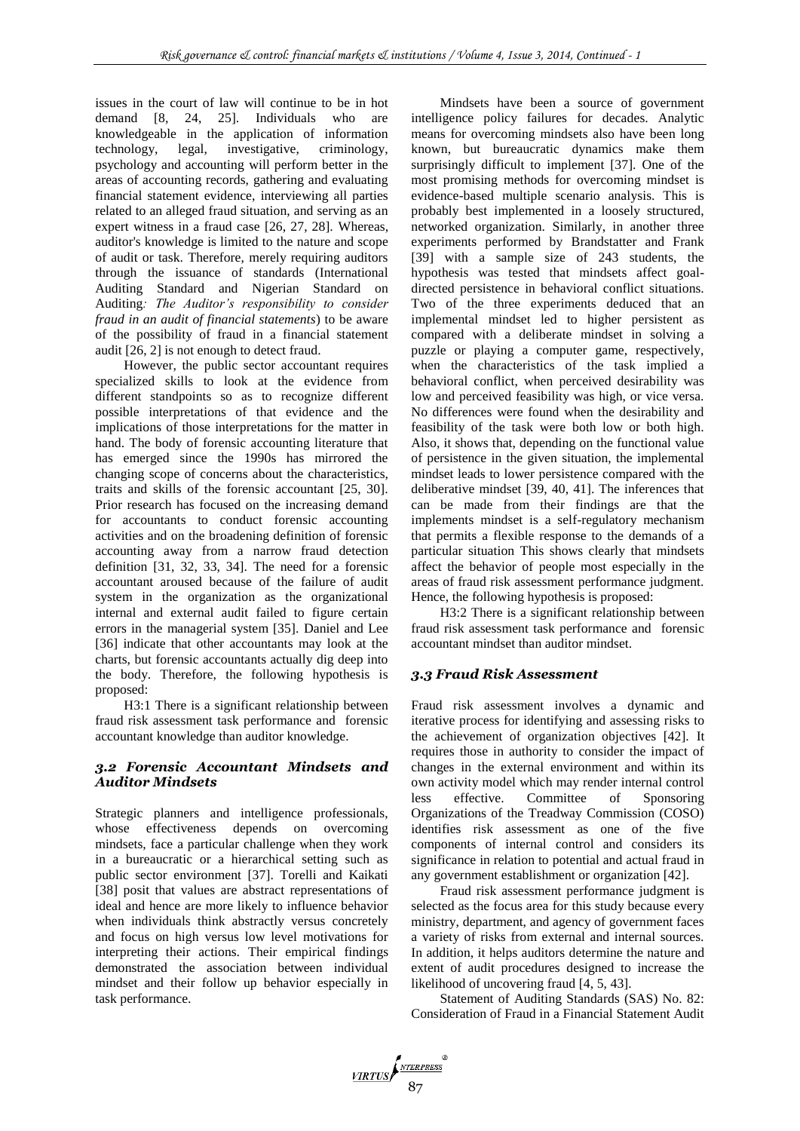issues in the court of law will continue to be in hot demand [8, 24, 25]. Individuals who are knowledgeable in the application of information technology, legal, investigative, criminology, psychology and accounting will perform better in the areas of accounting records, gathering and evaluating financial statement evidence, interviewing all parties related to an alleged fraud situation, and serving as an expert witness in a fraud case [26, 27, 28]. Whereas, auditor's knowledge is limited to the nature and scope of audit or task. Therefore, merely requiring auditors through the issuance of standards (International Auditing Standard and Nigerian Standard on Auditing*: The Auditor's responsibility to consider fraud in an audit of financial statements*) to be aware of the possibility of fraud in a financial statement audit [26, 2] is not enough to detect fraud.

However, the public sector accountant requires specialized skills to look at the evidence from different standpoints so as to recognize different possible interpretations of that evidence and the implications of those interpretations for the matter in hand. The body of forensic accounting literature that has emerged since the 1990s has mirrored the changing scope of concerns about the characteristics, traits and skills of the forensic accountant [25, 30]. Prior research has focused on the increasing demand for accountants to conduct forensic accounting activities and on the broadening definition of forensic accounting away from a narrow fraud detection definition [31, 32, 33, 34]. The need for a forensic accountant aroused because of the failure of audit system in the organization as the organizational internal and external audit failed to figure certain errors in the managerial system [35]. Daniel and Lee [36] indicate that other accountants may look at the charts, but forensic accountants actually dig deep into the body. Therefore, the following hypothesis is proposed:

H3:1 There is a significant relationship between fraud risk assessment task performance and forensic accountant knowledge than auditor knowledge.

# *3.2 Forensic Accountant Mindsets and Auditor Mindsets*

Strategic planners and intelligence professionals, whose effectiveness depends on overcoming mindsets, face a particular challenge when they work in a bureaucratic or a hierarchical setting such as public sector environment [37]. Torelli and Kaikati [38] posit that values are abstract representations of ideal and hence are more likely to influence behavior when individuals think abstractly versus concretely and focus on high versus low level motivations for interpreting their actions. Their empirical findings demonstrated the association between individual mindset and their follow up behavior especially in task performance.

Mindsets have been a source of government intelligence policy failures for decades. Analytic means for overcoming mindsets also have been long known, but bureaucratic dynamics make them surprisingly difficult to implement [37]. One of the most promising methods for overcoming mindset is evidence-based multiple scenario analysis. This is probably best implemented in a loosely structured, networked organization. Similarly, in another three experiments performed by Brandstatter and Frank [39] with a sample size of 243 students, the hypothesis was tested that mindsets affect goaldirected persistence in behavioral conflict situations. Two of the three experiments deduced that an implemental mindset led to higher persistent as compared with a deliberate mindset in solving a puzzle or playing a computer game, respectively, when the characteristics of the task implied a behavioral conflict, when perceived desirability was low and perceived feasibility was high, or vice versa. No differences were found when the desirability and feasibility of the task were both low or both high. Also, it shows that, depending on the functional value of persistence in the given situation, the implemental mindset leads to lower persistence compared with the deliberative mindset [39, 40, 41]. The inferences that can be made from their findings are that the implements mindset is a self-regulatory mechanism that permits a flexible response to the demands of a particular situation This shows clearly that mindsets affect the behavior of people most especially in the areas of fraud risk assessment performance judgment. Hence, the following hypothesis is proposed:

H3:2 There is a significant relationship between fraud risk assessment task performance and forensic accountant mindset than auditor mindset.

# *3.3 Fraud Risk Assessment*

Fraud risk assessment involves a dynamic and iterative process for identifying and assessing risks to the achievement of organization objectives [42]. It requires those in authority to consider the impact of changes in the external environment and within its own activity model which may render internal control less effective. Committee of Sponsoring Organizations of the Treadway Commission (COSO) identifies risk assessment as one of the five components of internal control and considers its significance in relation to potential and actual fraud in any government establishment or organization [42].

Fraud risk assessment performance judgment is selected as the focus area for this study because every ministry, department, and agency of government faces a variety of risks from external and internal sources. In addition, it helps auditors determine the nature and extent of audit procedures designed to increase the likelihood of uncovering fraud [4, 5, 43].

Statement of Auditing Standards (SAS) No. 82: Consideration of Fraud in a Financial Statement Audit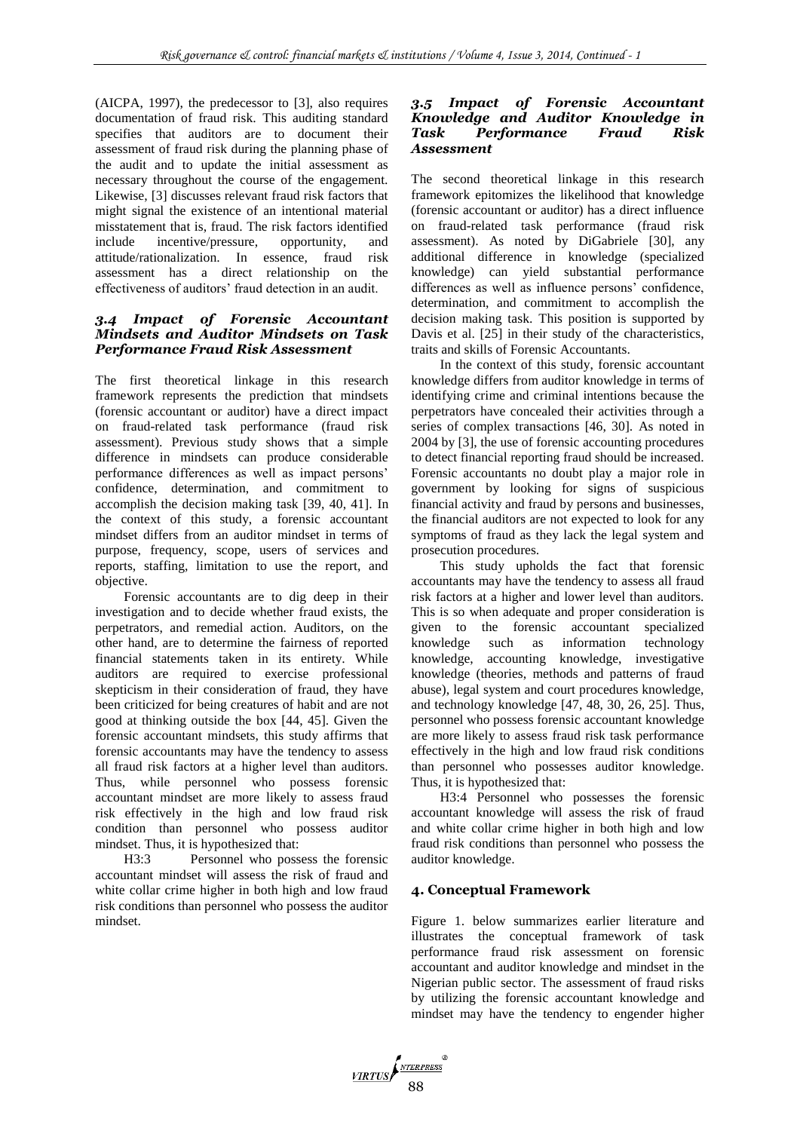(AICPA, 1997), the predecessor to [3], also requires documentation of fraud risk. This auditing standard specifies that auditors are to document their assessment of fraud risk during the planning phase of the audit and to update the initial assessment as necessary throughout the course of the engagement. Likewise, [3] discusses relevant fraud risk factors that might signal the existence of an intentional material misstatement that is, fraud. The risk factors identified include incentive/pressure, opportunity, and attitude/rationalization. In essence, fraud risk assessment has a direct relationship on the effectiveness of auditors' fraud detection in an audit.

# *3.4 Impact of Forensic Accountant Mindsets and Auditor Mindsets on Task Performance Fraud Risk Assessment*

The first theoretical linkage in this research framework represents the prediction that mindsets (forensic accountant or auditor) have a direct impact on fraud-related task performance (fraud risk assessment). Previous study shows that a simple difference in mindsets can produce considerable performance differences as well as impact persons' confidence, determination, and commitment to accomplish the decision making task [39, 40, 41]. In the context of this study, a forensic accountant mindset differs from an auditor mindset in terms of purpose, frequency, scope, users of services and reports, staffing, limitation to use the report, and objective.

Forensic accountants are to dig deep in their investigation and to decide whether fraud exists, the perpetrators, and remedial action. Auditors, on the other hand, are to determine the fairness of reported financial statements taken in its entirety. While auditors are required to exercise professional skepticism in their consideration of fraud, they have been criticized for being creatures of habit and are not good at thinking outside the box [44, 45]. Given the forensic accountant mindsets, this study affirms that forensic accountants may have the tendency to assess all fraud risk factors at a higher level than auditors. Thus, while personnel who possess forensic accountant mindset are more likely to assess fraud risk effectively in the high and low fraud risk condition than personnel who possess auditor mindset. Thus, it is hypothesized that:

H3:3 Personnel who possess the forensic accountant mindset will assess the risk of fraud and white collar crime higher in both high and low fraud risk conditions than personnel who possess the auditor mindset.

#### *3.5 Impact of Forensic Accountant Knowledge and Auditor Knowledge in Task Performance Fraud Risk Assessment*

The second theoretical linkage in this research framework epitomizes the likelihood that knowledge (forensic accountant or auditor) has a direct influence on fraud-related task performance (fraud risk assessment). As noted by DiGabriele [30], any additional difference in knowledge (specialized knowledge) can yield substantial performance differences as well as influence persons' confidence, determination, and commitment to accomplish the decision making task. This position is supported by Davis et al. [25] in their study of the characteristics, traits and skills of Forensic Accountants.

In the context of this study, forensic accountant knowledge differs from auditor knowledge in terms of identifying crime and criminal intentions because the perpetrators have concealed their activities through a series of complex transactions [46, 30]. As noted in 2004 by [3], the use of forensic accounting procedures to detect financial reporting fraud should be increased. Forensic accountants no doubt play a major role in government by looking for signs of suspicious financial activity and fraud by persons and businesses, the financial auditors are not expected to look for any symptoms of fraud as they lack the legal system and prosecution procedures.

This study upholds the fact that forensic accountants may have the tendency to assess all fraud risk factors at a higher and lower level than auditors. This is so when adequate and proper consideration is given to the forensic accountant specialized knowledge such as information technology knowledge, accounting knowledge, investigative knowledge (theories, methods and patterns of fraud abuse), legal system and court procedures knowledge, and technology knowledge [47, 48, 30, 26, 25]. Thus, personnel who possess forensic accountant knowledge are more likely to assess fraud risk task performance effectively in the high and low fraud risk conditions than personnel who possesses auditor knowledge. Thus, it is hypothesized that:

H3:4 Personnel who possesses the forensic accountant knowledge will assess the risk of fraud and white collar crime higher in both high and low fraud risk conditions than personnel who possess the auditor knowledge.

# **4. Conceptual Framework**

Figure 1. below summarizes earlier literature and illustrates the conceptual framework of task performance fraud risk assessment on forensic accountant and auditor knowledge and mindset in the Nigerian public sector. The assessment of fraud risks by utilizing the forensic accountant knowledge and mindset may have the tendency to engender higher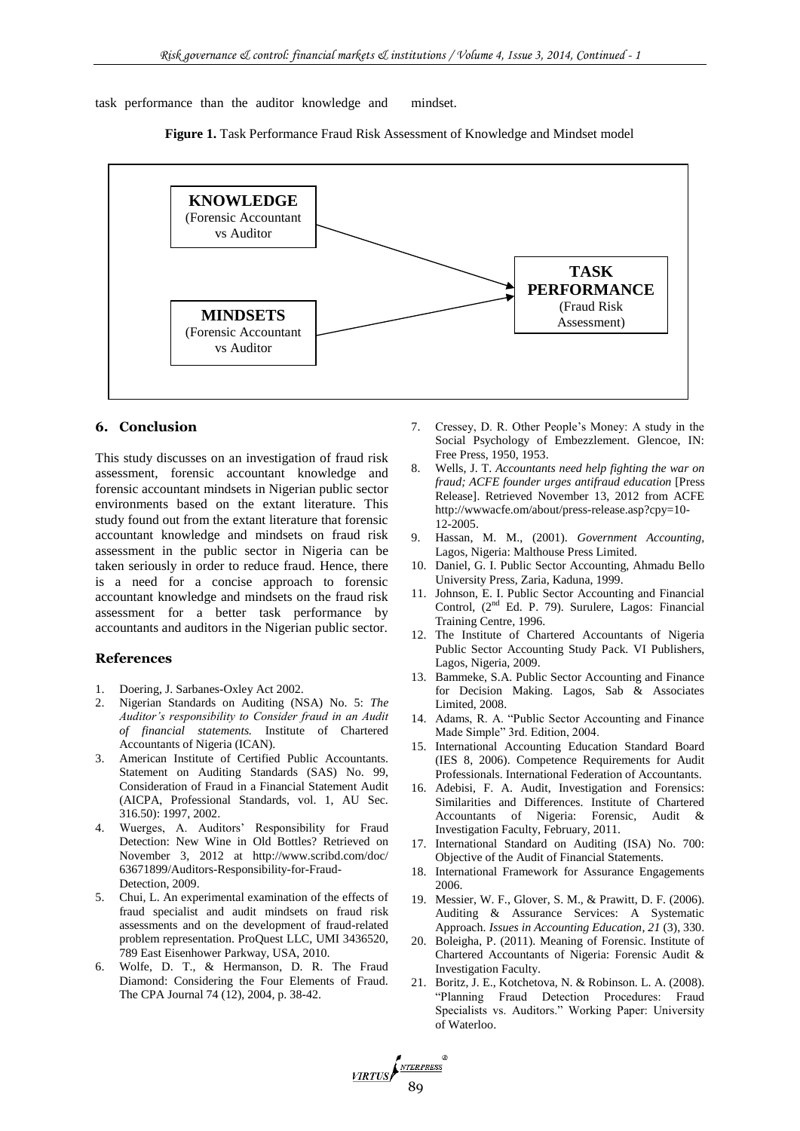task performance than the auditor knowledge and mindset.





VIRTUS ANTERPRESS

#### **6. Conclusion**

This study discusses on an investigation of fraud risk assessment, forensic accountant knowledge and forensic accountant mindsets in Nigerian public sector environments based on the extant literature. This study found out from the extant literature that forensic accountant knowledge and mindsets on fraud risk assessment in the public sector in Nigeria can be taken seriously in order to reduce fraud. Hence, there is a need for a concise approach to forensic accountant knowledge and mindsets on the fraud risk assessment for a better task performance by accountants and auditors in the Nigerian public sector.

#### **References**

- 1. Doering, J. Sarbanes-Oxley Act 2002.
- 2. Nigerian Standards on Auditing (NSA) No. 5: *The Auditor's responsibility to Consider fraud in an Audit of financial statements.* Institute of Chartered Accountants of Nigeria (ICAN).
- 3. American Institute of Certified Public Accountants. Statement on Auditing Standards (SAS) No. 99, Consideration of Fraud in a Financial Statement Audit (AICPA, Professional Standards, vol. 1, AU Sec. 316.50): 1997, 2002.
- 4. Wuerges, A. Auditors' Responsibility for Fraud Detection: New Wine in Old Bottles? Retrieved on November 3, 2012 at http://www.scribd.com/doc/ 63671899/Auditors-Responsibility-for-Fraud-Detection, 2009.
- 5. Chui, L. An experimental examination of the effects of fraud specialist and audit mindsets on fraud risk assessments and on the development of fraud-related problem representation. ProQuest LLC, UMI 3436520, 789 East Eisenhower Parkway, USA, 2010.
- 6. Wolfe, D. T., & Hermanson, D. R. The Fraud Diamond: Considering the Four Elements of Fraud. The CPA Journal 74 (12), 2004, p. 38-42.
- 7. Cressey, D. R. Other People's Money: A study in the Social Psychology of Embezzlement. Glencoe, IN: Free Press, 1950, 1953.
- 8. Wells, J. T. *Accountants need help fighting the war on fraud; ACFE founder urges antifraud education* [Press Release]. Retrieved November 13, 2012 from ACFE http://wwwacfe.om/about/press-release.asp?cpy=10- 12-2005.
- 9. Hassan, M. M., (2001). *Government Accounting,* Lagos, Nigeria: Malthouse Press Limited.
- 10. Daniel, G. I. Public Sector Accounting, Ahmadu Bello University Press, Zaria, Kaduna, 1999.
- 11. Johnson, E. I. Public Sector Accounting and Financial Control, (2<sup>nd</sup> Ed. P. 79). Surulere, Lagos: Financial Training Centre, 1996.
- 12. The Institute of Chartered Accountants of Nigeria Public Sector Accounting Study Pack. VI Publishers, Lagos, Nigeria, 2009.
- 13. Bammeke, S.A. Public Sector Accounting and Finance for Decision Making. Lagos, Sab & Associates Limited, 2008.
- 14. Adams, R. A. "Public Sector Accounting and Finance Made Simple" 3rd. Edition, 2004.
- 15. International Accounting Education Standard Board (IES 8, 2006). Competence Requirements for Audit Professionals. International Federation of Accountants.
- 16. Adebisi, F. A. Audit, Investigation and Forensics: Similarities and Differences. Institute of Chartered Accountants of Nigeria: Forensic, Audit & Investigation Faculty, February, 2011.
- 17. International Standard on Auditing (ISA) No. 700: Objective of the Audit of Financial Statements.
- 18. International Framework for Assurance Engagements 2006.
- 19. Messier, W. F., Glover, S. M., & Prawitt, D. F. (2006). Auditing & Assurance Services: A Systematic Approach. *Issues in Accounting Education*, *21* (3), 330.
- 20. Boleigha, P. (2011). Meaning of Forensic. Institute of Chartered Accountants of Nigeria: Forensic Audit & Investigation Faculty.
- 21. Boritz, J. E., Kotchetova, N. & Robinson. L. A. (2008). "Planning Fraud Detection Procedures: Fraud Specialists vs. Auditors." Working Paper: University of Waterloo.